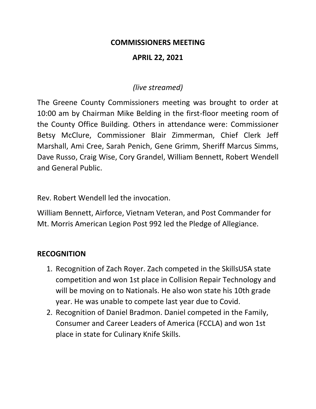#### **COMMISSIONERS MEETING**

#### **APRIL 22, 2021**

#### *(live streamed)*

The Greene County Commissioners meeting was brought to order at 10:00 am by Chairman Mike Belding in the first-floor meeting room of the County Office Building. Others in attendance were: Commissioner Betsy McClure, Commissioner Blair Zimmerman, Chief Clerk Jeff Marshall, Ami Cree, Sarah Penich, Gene Grimm, Sheriff Marcus Simms, Dave Russo, Craig Wise, Cory Grandel, William Bennett, Robert Wendell and General Public.

Rev. Robert Wendell led the invocation.

William Bennett, Airforce, Vietnam Veteran, and Post Commander for Mt. Morris American Legion Post 992 led the Pledge of Allegiance.

#### **RECOGNITION**

- 1. Recognition of Zach Royer. Zach competed in the SkillsUSA state competition and won 1st place in Collision Repair Technology and will be moving on to Nationals. He also won state his 10th grade year. He was unable to compete last year due to Covid.
- 2. Recognition of Daniel Bradmon. Daniel competed in the Family, Consumer and Career Leaders of America (FCCLA) and won 1st place in state for Culinary Knife Skills.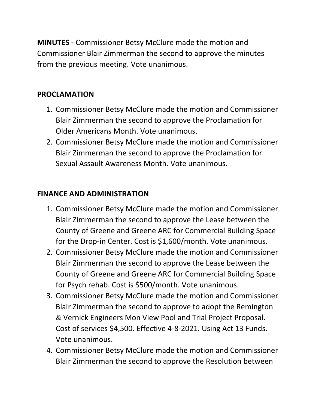**MINUTES -** Commissioner Betsy McClure made the motion and Commissioner Blair Zimmerman the second to approve the minutes from the previous meeting. Vote unanimous.

## **PROCLAMATION**

- 1. Commissioner Betsy McClure made the motion and Commissioner Blair Zimmerman the second to approve the Proclamation for Older Americans Month. Vote unanimous.
- 2. Commissioner Betsy McClure made the motion and Commissioner Blair Zimmerman the second to approve the Proclamation for Sexual Assault Awareness Month. Vote unanimous.

## **FINANCE AND ADMINISTRATION**

- 1. Commissioner Betsy McClure made the motion and Commissioner Blair Zimmerman the second to approve the Lease between the County of Greene and Greene ARC for Commercial Building Space for the Drop-in Center. Cost is \$1,600/month. Vote unanimous.
- 2. Commissioner Betsy McClure made the motion and Commissioner Blair Zimmerman the second to approve the Lease between the County of Greene and Greene ARC for Commercial Building Space for Psych rehab. Cost is \$500/month. Vote unanimous.
- 3. Commissioner Betsy McClure made the motion and Commissioner Blair Zimmerman the second to approve to adopt the Remington & Vernick Engineers Mon View Pool and Trial Project Proposal. Cost of services \$4,500. Effective 4-8-2021. Using Act 13 Funds. Vote unanimous.
- 4. Commissioner Betsy McClure made the motion and Commissioner Blair Zimmerman the second to approve the Resolution between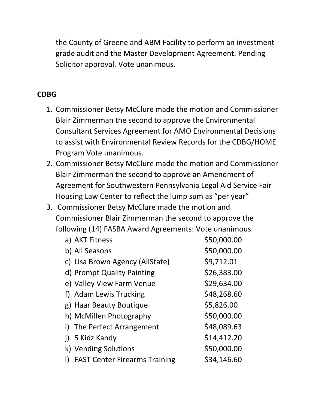the County of Greene and ABM Facility to perform an investment grade audit and the Master Development Agreement. Pending Solicitor approval. Vote unanimous.

### **CDBG**

- 1. Commissioner Betsy McClure made the motion and Commissioner Blair Zimmerman the second to approve the Environmental Consultant Services Agreement for AMO Environmental Decisions to assist with Environmental Review Records for the CDBG/HOME Program Vote unanimous.
- 2. Commissioner Betsy McClure made the motion and Commissioner Blair Zimmerman the second to approve an Amendment of Agreement for Southwestern Pennsylvania Legal Aid Service Fair Housing Law Center to reflect the lump sum as "per year"
- 3. Commissioner Betsy McClure made the motion and Commissioner Blair Zimmerman the second to approve the following (14) FASBA Award Agreements: Vote unanimous.

|    | a) AKT Fitness                       | \$50,000.00 |
|----|--------------------------------------|-------------|
|    | b) All Seasons                       | \$50,000.00 |
|    | c) Lisa Brown Agency (AllState)      | \$9,712.01  |
|    | d) Prompt Quality Painting           | \$26,383.00 |
|    | e) Valley View Farm Venue            | \$29,634.00 |
|    | f) Adam Lewis Trucking               | \$48,268.60 |
|    | g) Haar Beauty Boutique              | \$5,826.00  |
|    | h) McMillen Photography              | \$50,000.00 |
| i) | The Perfect Arrangement              | \$48,089.63 |
|    | 5 Kidz Kandy                         | \$14,412.20 |
|    | k) Vending Solutions                 | \$50,000.00 |
| I) | <b>FAST Center Firearms Training</b> | \$34,146.60 |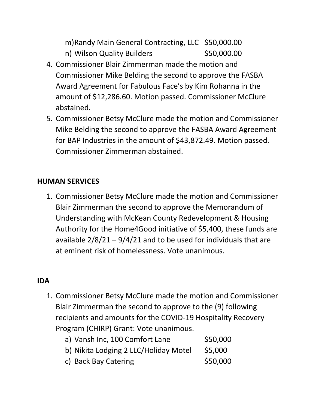- m)Randy Main General Contracting, LLC \$50,000.00 n) Wilson Quality Builders \$50,000.00
- 4. Commissioner Blair Zimmerman made the motion and Commissioner Mike Belding the second to approve the FASBA Award Agreement for Fabulous Face's by Kim Rohanna in the amount of \$12,286.60. Motion passed. Commissioner McClure abstained.
- 5. Commissioner Betsy McClure made the motion and Commissioner Mike Belding the second to approve the FASBA Award Agreement for BAP Industries in the amount of \$43,872.49. Motion passed. Commissioner Zimmerman abstained.

## **HUMAN SERVICES**

1. Commissioner Betsy McClure made the motion and Commissioner Blair Zimmerman the second to approve the Memorandum of Understanding with McKean County Redevelopment & Housing Authority for the Home4Good initiative of \$5,400, these funds are available 2/8/21 – 9/4/21 and to be used for individuals that are at eminent risk of homelessness. Vote unanimous.

## **IDA**

1. Commissioner Betsy McClure made the motion and Commissioner Blair Zimmerman the second to approve to the (9) following recipients and amounts for the COVID-19 Hospitality Recovery Program (CHIRP) Grant: Vote unanimous.

| a) Vansh Inc, 100 Comfort Lane        | \$50,000 |
|---------------------------------------|----------|
| b) Nikita Lodging 2 LLC/Holiday Motel | \$5,000  |
| c) Back Bay Catering                  | \$50,000 |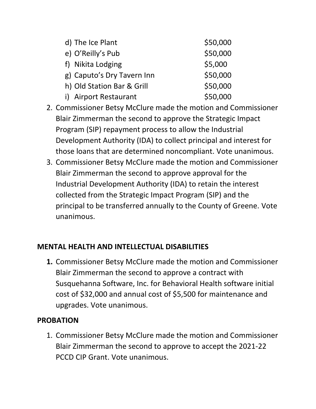| d) The Ice Plant           | \$50,000 |
|----------------------------|----------|
| e) O'Reilly's Pub          | \$50,000 |
| f) Nikita Lodging          | \$5,000  |
| g) Caputo's Dry Tavern Inn | \$50,000 |
| h) Old Station Bar & Grill | \$50,000 |
| i) Airport Restaurant      | \$50,000 |

- 2. Commissioner Betsy McClure made the motion and Commissioner Blair Zimmerman the second to approve the Strategic Impact Program (SIP) repayment process to allow the Industrial Development Authority (IDA) to collect principal and interest for those loans that are determined noncompliant. Vote unanimous.
- 3. Commissioner Betsy McClure made the motion and Commissioner Blair Zimmerman the second to approve approval for the Industrial Development Authority (IDA) to retain the interest collected from the Strategic Impact Program (SIP) and the principal to be transferred annually to the County of Greene. Vote unanimous.

### **MENTAL HEALTH AND INTELLECTUAL DISABILITIES**

**1.** Commissioner Betsy McClure made the motion and Commissioner Blair Zimmerman the second to approve a contract with Susquehanna Software, Inc. for Behavioral Health software initial cost of \$32,000 and annual cost of \$5,500 for maintenance and upgrades. Vote unanimous.

## **PROBATION**

1. Commissioner Betsy McClure made the motion and Commissioner Blair Zimmerman the second to approve to accept the 2021-22 PCCD CIP Grant. Vote unanimous.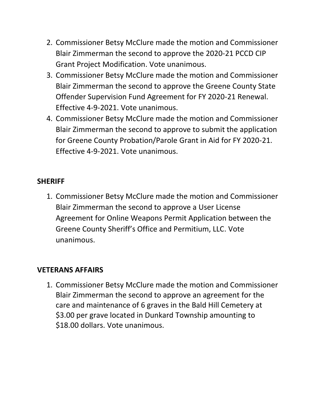- 2. Commissioner Betsy McClure made the motion and Commissioner Blair Zimmerman the second to approve the 2020-21 PCCD CIP Grant Project Modification. Vote unanimous.
- 3. Commissioner Betsy McClure made the motion and Commissioner Blair Zimmerman the second to approve the Greene County State Offender Supervision Fund Agreement for FY 2020-21 Renewal. Effective 4-9-2021. Vote unanimous.
- 4. Commissioner Betsy McClure made the motion and Commissioner Blair Zimmerman the second to approve to submit the application for Greene County Probation/Parole Grant in Aid for FY 2020-21. Effective 4-9-2021. Vote unanimous.

### **SHERIFF**

1. Commissioner Betsy McClure made the motion and Commissioner Blair Zimmerman the second to approve a User License Agreement for Online Weapons Permit Application between the Greene County Sheriff's Office and Permitium, LLC. Vote unanimous.

## **VETERANS AFFAIRS**

1. Commissioner Betsy McClure made the motion and Commissioner Blair Zimmerman the second to approve an agreement for the care and maintenance of 6 graves in the Bald Hill Cemetery at \$3.00 per grave located in Dunkard Township amounting to \$18.00 dollars. Vote unanimous.